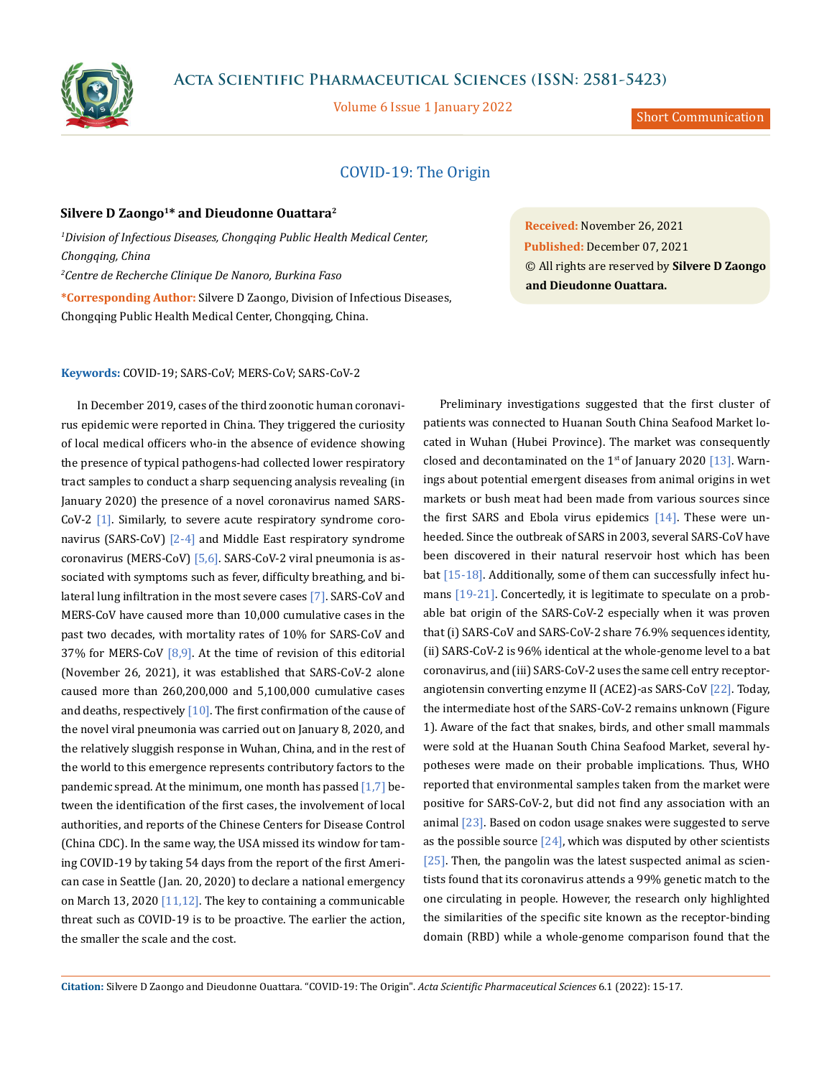

# **Acta Scientific Pharmaceutical Sciences (ISSN: 2581-5423)**

Volume 6 Issue 1 January 2022

Short Communication

# COVID-19: The Origin

## Silvere D Zaongo<sup>1\*</sup> and Dieudonne Ouattara<sup>2</sup>

*1 Division of Infectious Diseases, Chongqing Public Health Medical Center, Chongqing, China 2 Centre de Recherche Clinique De Nanoro, Burkina Faso* **\*Corresponding Author:** Silvere D Zaongo, Division of Infectious Diseases, Chongqing Public Health Medical Center, Chongqing, China.

**Received:** November 26, 2021 **Published:** December 07, 2021 © All rights are reserved by **Silvere D Zaongo and Dieudonne Ouattara.**

#### **Keywords:** COVID-19; SARS-CoV; MERS-CoV; SARS-CoV-2

In December 2019, cases of the third zoonotic human coronavirus epidemic were reported in China. They triggered the curiosity of local medical officers who-in the absence of evidence showing the presence of typical pathogens-had collected lower respiratory tract samples to conduct a sharp sequencing analysis revealing (in January 2020) the presence of a novel coronavirus named SARS-CoV-2 [1]. Similarly, to severe acute respiratory syndrome coronavirus (SARS-CoV) [2-4] and Middle East respiratory syndrome coronavirus (MERS-CoV) [5,6]. SARS-CoV-2 viral pneumonia is associated with symptoms such as fever, difficulty breathing, and bilateral lung infiltration in the most severe cases [7]. SARS-CoV and MERS-CoV have caused more than 10,000 cumulative cases in the past two decades, with mortality rates of 10% for SARS-CoV and 37% for MERS-CoV  $[8,9]$ . At the time of revision of this editorial (November 26, 2021), it was established that SARS-CoV-2 alone caused more than 260,200,000 and 5,100,000 cumulative cases and deaths, respectively  $[10]$ . The first confirmation of the cause of the novel viral pneumonia was carried out on January 8, 2020, and the relatively sluggish response in Wuhan, China, and in the rest of the world to this emergence represents contributory factors to the pandemic spread. At the minimum, one month has passed  $[1,7]$  between the identification of the first cases, the involvement of local authorities, and reports of the Chinese Centers for Disease Control (China CDC). In the same way, the USA missed its window for taming COVID-19 by taking 54 days from the report of the first American case in Seattle (Jan. 20, 2020) to declare a national emergency on March 13, 2020  $[11,12]$ . The key to containing a communicable threat such as COVID-19 is to be proactive. The earlier the action, the smaller the scale and the cost.

Preliminary investigations suggested that the first cluster of patients was connected to Huanan South China Seafood Market located in Wuhan (Hubei Province). The market was consequently closed and decontaminated on the  $1<sup>st</sup>$  of January 2020 [13]. Warnings about potential emergent diseases from animal origins in wet markets or bush meat had been made from various sources since the first SARS and Ebola virus epidemics [14]. These were unheeded. Since the outbreak of SARS in 2003, several SARS-CoV have been discovered in their natural reservoir host which has been bat [15-18]. Additionally, some of them can successfully infect humans [19-21]. Concertedly, it is legitimate to speculate on a probable bat origin of the SARS-CoV-2 especially when it was proven that (i) SARS-CoV and SARS-CoV-2 share 76.9% sequences identity, (ii) SARS-CoV-2 is 96% identical at the whole-genome level to a bat coronavirus, and (iii) SARS-CoV-2 uses the same cell entry receptorangiotensin converting enzyme II (ACE2)-as SARS-CoV [22]. Today, the intermediate host of the SARS-CoV-2 remains unknown (Figure 1). Aware of the fact that snakes, birds, and other small mammals were sold at the Huanan South China Seafood Market, several hypotheses were made on their probable implications. Thus, WHO reported that environmental samples taken from the market were positive for SARS-CoV-2, but did not find any association with an animal [23]. Based on codon usage snakes were suggested to serve as the possible source  $[24]$ , which was disputed by other scientists [25]. Then, the pangolin was the latest suspected animal as scientists found that its coronavirus attends a 99% genetic match to the one circulating in people. However, the research only highlighted the similarities of the specific site known as the receptor-binding domain (RBD) while a whole-genome comparison found that the

**Citation:** Silvere D Zaongo and Dieudonne Ouattara*.* "COVID-19: The Origin". *Acta Scientific Pharmaceutical Sciences* 6.1 (2022): 15-17.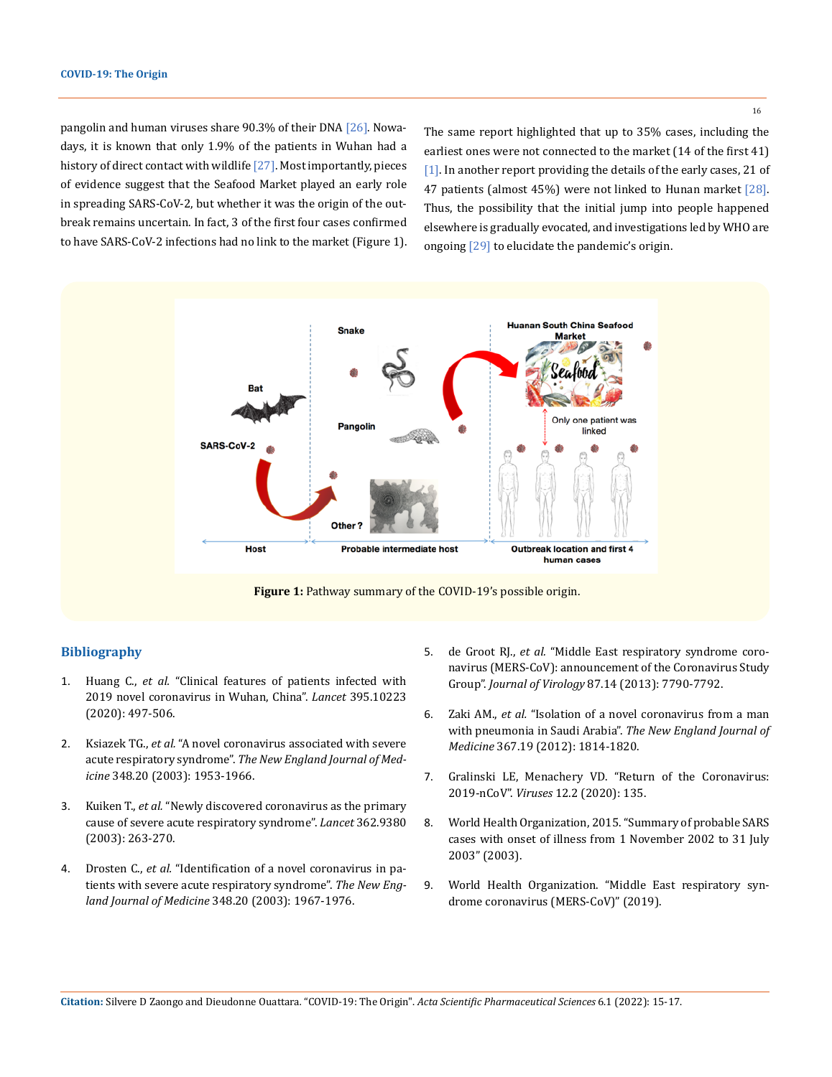pangolin and human viruses share 90.3% of their DNA [26]. Nowadays, it is known that only 1.9% of the patients in Wuhan had a history of direct contact with wildlife [27]. Most importantly, pieces of evidence suggest that the Seafood Market played an early role in spreading SARS-CoV-2, but whether it was the origin of the outbreak remains uncertain. In fact, 3 [of the first four cases](https://www.sciencemag.org/news/2020/01/mining-coronavirus-genomes-clues-outbreak-s-origins) confirmed to have SARS-CoV-2 infections had no link to the market (Figure 1).

The same report highlighted that up to 35% cases, including the earliest ones were not connected to the market (14 of the first 41) [1]. In another report providing the details of the early cases, 21 of 47 patients (almost 45%) were not linked to Hunan market [28]. Thus, the possibility that the initial jump into people happened elsewhere is gradually evocated, and investigations led by WHO are ongoing [29] to elucidate the pandemic's origin.



## **Bibliography**

- 1. Huang C., *et al.* ["Clinical features of patients infected with](https://www.thelancet.com/journals/lancet/article/PIIS0140-6736(20)30183-5/fulltext)  [2019 novel coronavirus in Wuhan, China".](https://www.thelancet.com/journals/lancet/article/PIIS0140-6736(20)30183-5/fulltext) *Lancet* 395.10223 [\(2020\): 497-506.](https://www.thelancet.com/journals/lancet/article/PIIS0140-6736(20)30183-5/fulltext)
- 2. Ksiazek TG., *et al.* ["A novel coronavirus associated with severe](https://pubmed.ncbi.nlm.nih.gov/12690092/)  acute respiratory syndrome". *[The New England Journal of Med](https://pubmed.ncbi.nlm.nih.gov/12690092/)icine* [348.20 \(2003\): 1953-1966.](https://pubmed.ncbi.nlm.nih.gov/12690092/)
- 3. Kuiken T., *et al.* ["Newly discovered coronavirus as the primary](https://pubmed.ncbi.nlm.nih.gov/12892955/)  [cause of severe acute respiratory syndrome".](https://pubmed.ncbi.nlm.nih.gov/12892955/) *Lancet* 362.9380 [\(2003\): 263-270.](https://pubmed.ncbi.nlm.nih.gov/12892955/)
- 4. Drosten C., *et al.* ["Identification of a novel coronavirus in pa](https://pubmed.ncbi.nlm.nih.gov/12690091/)[tients with severe acute respiratory syndrome".](https://pubmed.ncbi.nlm.nih.gov/12690091/) *The New Eng[land Journal of Medicine](https://pubmed.ncbi.nlm.nih.gov/12690091/)* 348.20 (2003): 1967-1976.
- 5. de Groot RJ., *et al.* ["Middle East respiratory syndrome coro](https://www.ncbi.nlm.nih.gov/pmc/articles/PMC3700179/)[navirus \(MERS-CoV\): announcement of the Coronavirus Study](https://www.ncbi.nlm.nih.gov/pmc/articles/PMC3700179/)  Group". *Journal of Virology* [87.14 \(2013\): 7790-7792.](https://www.ncbi.nlm.nih.gov/pmc/articles/PMC3700179/)
- 6. Zaki AM., *et al.* ["Isolation of a novel coronavirus from a man](https://www.nejm.org/doi/full/10.1056/nejmoa1211721)  [with pneumonia in Saudi Arabia".](https://www.nejm.org/doi/full/10.1056/nejmoa1211721) *The New England Journal of Medicine* [367.19 \(2012\): 1814-1820.](https://www.nejm.org/doi/full/10.1056/nejmoa1211721)
- 7. [Gralinski LE, Menachery VD. "Return of the Coronavirus:](https://pubmed.ncbi.nlm.nih.gov/31991541/)  2019-nCoV". *Viruses* [12.2 \(2020\): 135.](https://pubmed.ncbi.nlm.nih.gov/31991541/)
- 8. [World Health Organization, 2015. "Summary of probable SARS](https://www.who.int/publications/m/item/summary-of-probable-sars-cases-with-onset-of-illness-from-1-november-2002-to-31-july-2003)  [cases with onset of illness from 1 November 2002 to 31 July](https://www.who.int/publications/m/item/summary-of-probable-sars-cases-with-onset-of-illness-from-1-november-2002-to-31-july-2003)  [2003" \(2003\).](https://www.who.int/publications/m/item/summary-of-probable-sars-cases-with-onset-of-illness-from-1-november-2002-to-31-july-2003)
- 9. World Health Organization. "Middle East respiratory syndrome coronavirus (MERS-CoV)" (2019).

16